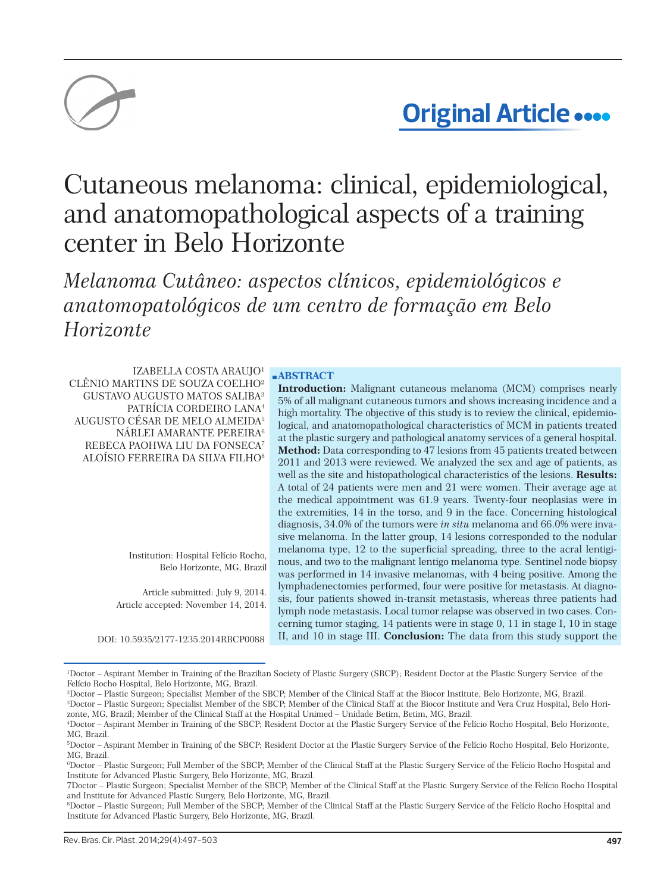

# **Original Article**

## Cutaneous melanoma: clinical, epidemiological, and anatomopathological aspects of a training center in Belo Horizonte

*Melanoma Cutâneo: aspectos clínicos, epidemiológicos e anatomopatológicos de um centro de formação em Belo Horizonte*

IZABELLA COSTA ARAUJO<sup>1</sup> CLÊNIO MARTINS DE SOUZA COELHO² GUSTAVO AUGUSTO MATOS SALIBA³ PATRÍCIA CORDEIRO LANA4 AUGUSTO CÉSAR DE MELO ALMEIDA5 NÁRLEI AMARANTE PEREIRA6 REBECA PAOHWA LIU DA FONSECA7 ALOÍSIO FERREIRA DA SILVA FILHO8

> Institution: Hospital Felício Rocho, Belo Horizonte, MG, Brazil

Article submitted: July 9, 2014. Article accepted: November 14, 2014.

DOI: 10.5935/2177-1235.2014RBCP0088

## **ABSTRACT**

**Introduction:** Malignant cutaneous melanoma (MCM) comprises nearly 5% of all malignant cutaneous tumors and shows increasing incidence and a high mortality. The objective of this study is to review the clinical, epidemiological, and anatomopathological characteristics of MCM in patients treated at the plastic surgery and pathological anatomy services of a general hospital. **Method:** Data corresponding to 47 lesions from 45 patients treated between 2011 and 2013 were reviewed. We analyzed the sex and age of patients, as well as the site and histopathological characteristics of the lesions. **Results:** A total of 24 patients were men and 21 were women. Their average age at the medical appointment was 61.9 years. Twenty-four neoplasias were in the extremities, 14 in the torso, and 9 in the face. Concerning histological diagnosis, 34.0% of the tumors were *in situ* melanoma and 66.0% were invasive melanoma. In the latter group, 14 lesions corresponded to the nodular melanoma type, 12 to the superficial spreading, three to the acral lentiginous, and two to the malignant lentigo melanoma type. Sentinel node biopsy was performed in 14 invasive melanomas, with 4 being positive. Among the lymphadenectomies performed, four were positive for metastasis. At diagnosis, four patients showed in-transit metastasis, whereas three patients had lymph node metastasis. Local tumor relapse was observed in two cases. Concerning tumor staging, 14 patients were in stage 0, 11 in stage I, 10 in stage II, and 10 in stage III. **Conclusion:** The data from this study support the

Rev. Bras. Cir. Plást. 2014;29(4):497-503

<sup>1</sup> Doctor – Aspirant Member in Training of the Brazilian Society of Plastic Surgery (SBCP); Resident Doctor at the Plastic Surgery Service of the Felício Rocho Hospital, Belo Horizonte, MG, Brazil.

<sup>2</sup> Doctor – Plastic Surgeon; Specialist Member of the SBCP; Member of the Clinical Staff at the Biocor Institute, Belo Horizonte, MG, Brazil.

<sup>3</sup> Doctor – Plastic Surgeon; Specialist Member of the SBCP; Member of the Clinical Staff at the Biocor Institute and Vera Cruz Hospital, Belo Horizonte, MG, Brazil; Member of the Clinical Staff at the Hospital Unimed – Unidade Betim, Betim, MG, Brazil.

<sup>4</sup> Doctor – Aspirant Member in Training of the SBCP; Resident Doctor at the Plastic Surgery Service of the Felício Rocho Hospital, Belo Horizonte, MG, Brazil.

<sup>5</sup> Doctor – Aspirant Member in Training of the SBCP; Resident Doctor at the Plastic Surgery Service of the Felício Rocho Hospital, Belo Horizonte, MG, Brazil.

<sup>6</sup> Doctor – Plastic Surgeon; Full Member of the SBCP; Member of the Clinical Staff at the Plastic Surgery Service of the Felício Rocho Hospital and Institute for Advanced Plastic Surgery, Belo Horizonte, MG, Brazil.

<sup>7</sup>Doctor – Plastic Surgeon; Specialist Member of the SBCP; Member of the Clinical Staff at the Plastic Surgery Service of the Felício Rocho Hospital and Institute for Advanced Plastic Surgery, Belo Horizonte, MG, Brazil.

<sup>8</sup> Doctor – Plastic Surgeon; Full Member of the SBCP; Member of the Clinical Staff at the Plastic Surgery Service of the Felício Rocho Hospital and Institute for Advanced Plastic Surgery, Belo Horizonte, MG, Brazil.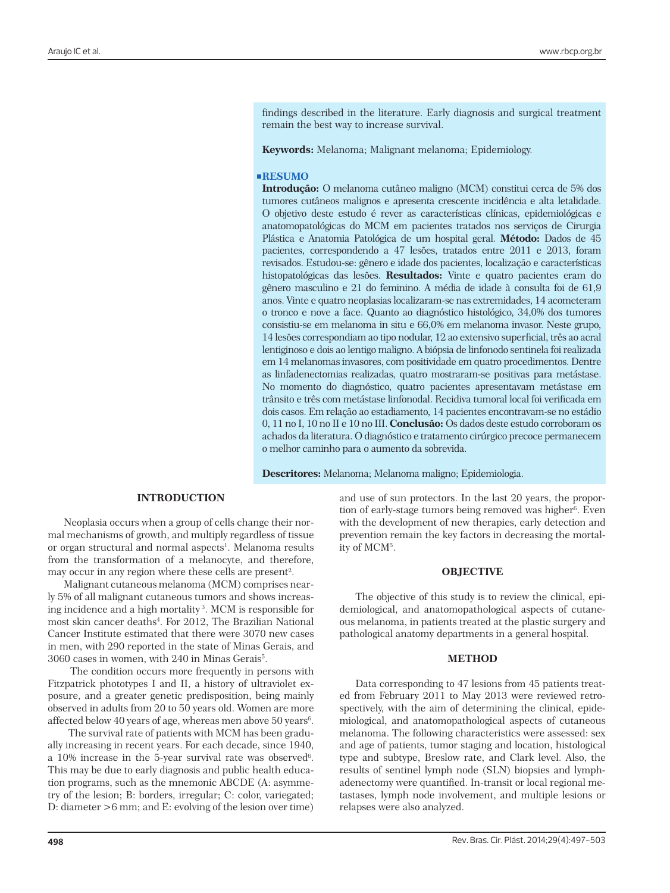findings described in the literature. Early diagnosis and surgical treatment remain the best way to increase survival.

**Keywords:** Melanoma; Malignant melanoma; Epidemiology.

## **RESUMO**

**Introdução:** O melanoma cutâneo maligno (MCM) constitui cerca de 5% dos tumores cutâneos malignos e apresenta crescente incidência e alta letalidade. O objetivo deste estudo é rever as características clínicas, epidemiológicas e anatomopatológicas do MCM em pacientes tratados nos serviços de Cirurgia Plástica e Anatomia Patológica de um hospital geral. **Método:** Dados de 45 pacientes, correspondendo a 47 lesões, tratados entre 2011 e 2013, foram revisados. Estudou-se: gênero e idade dos pacientes, localização e características histopatológicas das lesões. **Resultados:** Vinte e quatro pacientes eram do gênero masculino e 21 do feminino. A média de idade à consulta foi de 61,9 anos. Vinte e quatro neoplasias localizaram-se nas extremidades, 14 acometeram o tronco e nove a face. Quanto ao diagnóstico histológico, 34,0% dos tumores consistiu-se em melanoma in situ e 66,0% em melanoma invasor. Neste grupo, 14 lesões correspondiam ao tipo nodular, 12 ao extensivo superficial, três ao acral lentiginoso e dois ao lentigo maligno. A biópsia de linfonodo sentinela foi realizada em 14 melanomas invasores, com positividade em quatro procedimentos. Dentre as linfadenectomias realizadas, quatro mostraram-se positivas para metástase. No momento do diagnóstico, quatro pacientes apresentavam metástase em trânsito e três com metástase linfonodal. Recidiva tumoral local foi verificada em dois casos. Em relação ao estadiamento, 14 pacientes encontravam-se no estádio 0, 11 no I, 10 no II e 10 no III. **Conclusão:** Os dados deste estudo corroboram os achados da literatura. O diagnóstico e tratamento cirúrgico precoce permanecem o melhor caminho para o aumento da sobrevida.

**Descritores:** Melanoma; Melanoma maligno; Epidemiologia.

## **INTRODUCTION**

Neoplasia occurs when a group of cells change their normal mechanisms of growth, and multiply regardless of tissue or organ structural and normal aspects<sup>1</sup>. Melanoma results from the transformation of a melanocyte, and therefore, may occur in any region where these cells are present<sup>2</sup>.

Malignant cutaneous melanoma (MCM) comprises nearly 5% of all malignant cutaneous tumors and shows increasing incidence and a high mortality 3. MCM is responsible for most skin cancer deaths<sup>4</sup>. For 2012, The Brazilian National Cancer Institute estimated that there were 3070 new cases in men, with 290 reported in the state of Minas Gerais, and 3060 cases in women, with 240 in Minas Gerais<sup>5</sup>.

 The condition occurs more frequently in persons with Fitzpatrick phototypes I and II, a history of ultraviolet exposure, and a greater genetic predisposition, being mainly observed in adults from 20 to 50 years old. Women are more affected below 40 years of age, whereas men above 50 years<sup>6</sup>.

 The survival rate of patients with MCM has been gradually increasing in recent years. For each decade, since 1940, a 10% increase in the 5-year survival rate was observed<sup>6</sup>. This may be due to early diagnosis and public health education programs, such as the mnemonic ABCDE (A: asymmetry of the lesion; B: borders, irregular; C: color, variegated; D: diameter >6 mm; and E: evolving of the lesion over time)

**498**

and use of sun protectors. In the last 20 years, the proportion of early-stage tumors being removed was higher<sup>6</sup>. Even with the development of new therapies, early detection and prevention remain the key factors in decreasing the mortality of MCM5 .

## **OBJECTIVE**

The objective of this study is to review the clinical, epidemiological, and anatomopathological aspects of cutaneous melanoma, in patients treated at the plastic surgery and pathological anatomy departments in a general hospital.

#### **METHOD**

Data corresponding to 47 lesions from 45 patients treated from February 2011 to May 2013 were reviewed retrospectively, with the aim of determining the clinical, epidemiological, and anatomopathological aspects of cutaneous melanoma. The following characteristics were assessed: sex and age of patients, tumor staging and location, histological type and subtype, Breslow rate, and Clark level. Also, the results of sentinel lymph node (SLN) biopsies and lymphadenectomy were quantified. In-transit or local regional metastases, lymph node involvement, and multiple lesions or relapses were also analyzed.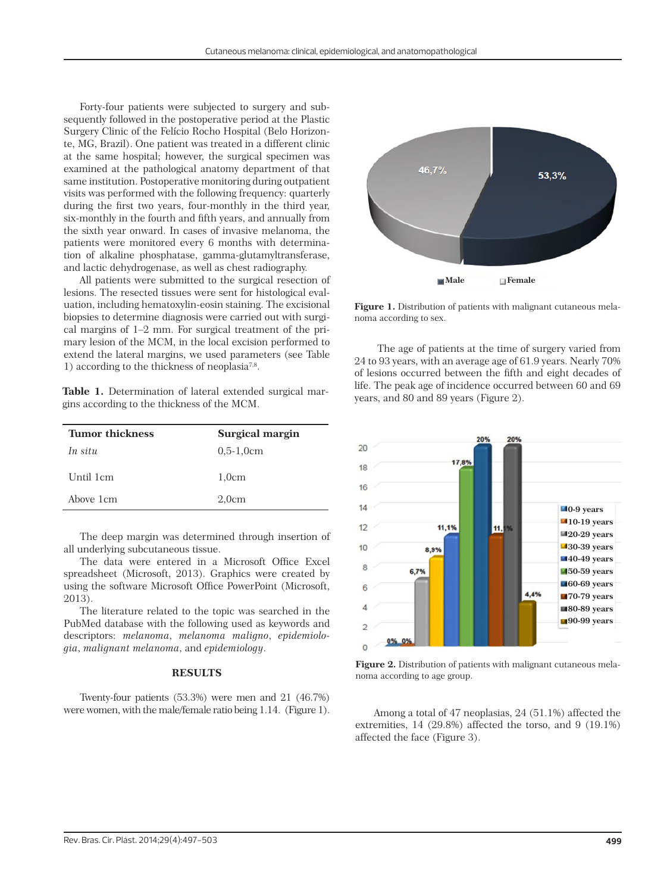Forty-four patients were subjected to surgery and subsequently followed in the postoperative period at the Plastic Surgery Clinic of the Felício Rocho Hospital (Belo Horizonte, MG, Brazil). One patient was treated in a different clinic at the same hospital; however, the surgical specimen was examined at the pathological anatomy department of that same institution. Postoperative monitoring during outpatient visits was performed with the following frequency: quarterly during the first two years, four-monthly in the third year, six-monthly in the fourth and fifth years, and annually from the sixth year onward. In cases of invasive melanoma, the patients were monitored every 6 months with determination of alkaline phosphatase, gamma-glutamyltransferase, and lactic dehydrogenase, as well as chest radiography.

All patients were submitted to the surgical resection of lesions. The resected tissues were sent for histological evaluation, including hematoxylin-eosin staining. The excisional biopsies to determine diagnosis were carried out with surgical margins of 1–2 mm. For surgical treatment of the primary lesion of the MCM, in the local excision performed to extend the lateral margins, we used parameters (see Table 1) according to the thickness of neoplasia7,8.

**Table 1.** Determination of lateral extended surgical margins according to the thickness of the MCM.

| Tumor thickness | Surgical margin |
|-----------------|-----------------|
| In situ         | $0,5-1,0cm$     |
| Until 1cm       | 1,0cm           |
| Above 1cm       | 2,0cm           |

The deep margin was determined through insertion of all underlying subcutaneous tissue.

The data were entered in a Microsoft Office Excel spreadsheet (Microsoft, 2013). Graphics were created by using the software Microsoft Office PowerPoint (Microsoft, 2013).

The literature related to the topic was searched in the PubMed database with the following used as keywords and descriptors: *melanoma*, *melanoma maligno*, *epidemiologia*, *malignant melanoma*, and *epidemiology*.

## **RESULTS**

Twenty-four patients (53.3%) were men and 21 (46.7%) were women, with the male/female ratio being 1.14. (Figure 1).



**Figure 1.** Distribution of patients with malignant cutaneous melanoma according to sex.

 The age of patients at the time of surgery varied from 24 to 93 years, with an average age of 61.9 years. Nearly 70% of lesions occurred between the fifth and eight decades of life. The peak age of incidence occurred between 60 and 69 years, and 80 and 89 years (Figure 2).



**Figure 2.** Distribution of patients with malignant cutaneous melanoma according to age group.

 Among a total of 47 neoplasias, 24 (51.1%) affected the extremities, 14 (29.8%) affected the torso, and 9 (19.1%) affected the face (Figure 3).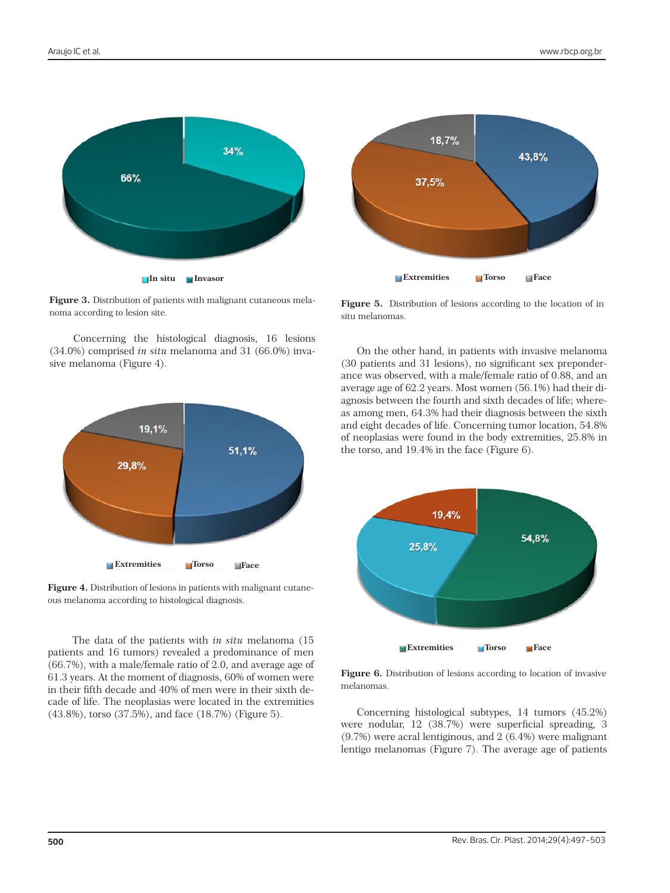

**Figure 3.** Distribution of patients with malignant cutaneous melanoma according to lesion site.

Concerning the histological diagnosis, 16 lesions (34.0%) comprised *in situ* melanoma and 31 (66.0%) invasive melanoma (Figure 4).



Figure 4. Distribution of lesions in patients with malignant cutaneous melanoma according to histological diagnosis.

 The data of the patients with *in situ* melanoma (15 patients and 16 tumors) revealed a predominance of men (66.7%), with a male/female ratio of 2.0, and average age of 61.3 years. At the moment of diagnosis, 60% of women were in their fifth decade and 40% of men were in their sixth decade of life. The neoplasias were located in the extremities (43.8%), torso (37.5%), and face (18.7%) (Figure 5).



**Figure 5.** Distribution of lesions according to the location of in situ melanomas.

On the other hand, in patients with invasive melanoma (30 patients and 31 lesions), no significant sex preponderance was observed, with a male/female ratio of 0.88, and an average age of 62.2 years. Most women (56.1%) had their diagnosis between the fourth and sixth decades of life; whereas among men, 64.3% had their diagnosis between the sixth and eight decades of life. Concerning tumor location, 54.8% of neoplasias were found in the body extremities, 25.8% in the torso, and 19.4% in the face (Figure 6).



Figure 6. Distribution of lesions according to location of invasive melanomas.

Concerning histological subtypes, 14 tumors (45.2%) were nodular, 12 (38.7%) were superficial spreading, 3 (9.7%) were acral lentiginous, and 2 (6.4%) were malignant lentigo melanomas (Figure 7). The average age of patients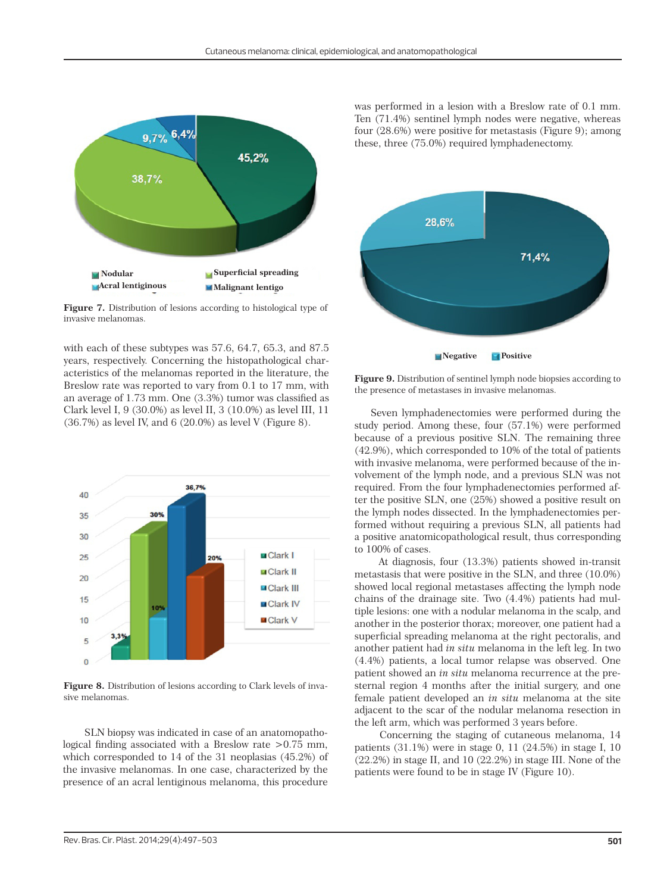

**Figure 7.** Distribution of lesions according to histological type of invasive melanomas.

with each of these subtypes was 57.6, 64.7, 65.3, and 87.5 years, respectively. Concerning the histopathological characteristics of the melanomas reported in the literature, the Breslow rate was reported to vary from 0.1 to 17 mm, with an average of 1.73 mm. One (3.3%) tumor was classified as Clark level I, 9 (30.0%) as level II, 3 (10.0%) as level III, 11 (36.7%) as level IV, and 6 (20.0%) as level V (Figure 8).



Figure 8. Distribution of lesions according to Clark levels of invasive melanomas.

 SLN biopsy was indicated in case of an anatomopathological finding associated with a Breslow rate >0.75 mm, which corresponded to 14 of the 31 neoplasias (45.2%) of the invasive melanomas. In one case, characterized by the presence of an acral lentiginous melanoma, this procedure

was performed in a lesion with a Breslow rate of 0.1 mm. Ten (71.4%) sentinel lymph nodes were negative, whereas four (28.6%) were positive for metastasis (Figure 9); among these, three (75.0%) required lymphadenectomy.



**Figure 9.** Distribution of sentinel lymph node biopsies according to the presence of metastases in invasive melanomas.

Seven lymphadenectomies were performed during the study period. Among these, four (57.1%) were performed because of a previous positive SLN. The remaining three (42.9%), which corresponded to 10% of the total of patients with invasive melanoma, were performed because of the involvement of the lymph node, and a previous SLN was not required. From the four lymphadenectomies performed after the positive SLN, one (25%) showed a positive result on the lymph nodes dissected. In the lymphadenectomies performed without requiring a previous SLN, all patients had a positive anatomicopathological result, thus corresponding to 100% of cases.

 At diagnosis, four (13.3%) patients showed in-transit metastasis that were positive in the SLN, and three (10.0%) showed local regional metastases affecting the lymph node chains of the drainage site. Two (4.4%) patients had multiple lesions: one with a nodular melanoma in the scalp, and another in the posterior thorax; moreover, one patient had a superficial spreading melanoma at the right pectoralis, and another patient had *in situ* melanoma in the left leg. In two (4.4%) patients, a local tumor relapse was observed. One patient showed an *in situ* melanoma recurrence at the presternal region 4 months after the initial surgery, and one female patient developed an *in situ* melanoma at the site adjacent to the scar of the nodular melanoma resection in the left arm, which was performed 3 years before.

 Concerning the staging of cutaneous melanoma, 14 patients (31.1%) were in stage 0, 11 (24.5%) in stage I, 10 (22.2%) in stage II, and 10 (22.2%) in stage III. None of the patients were found to be in stage IV (Figure 10).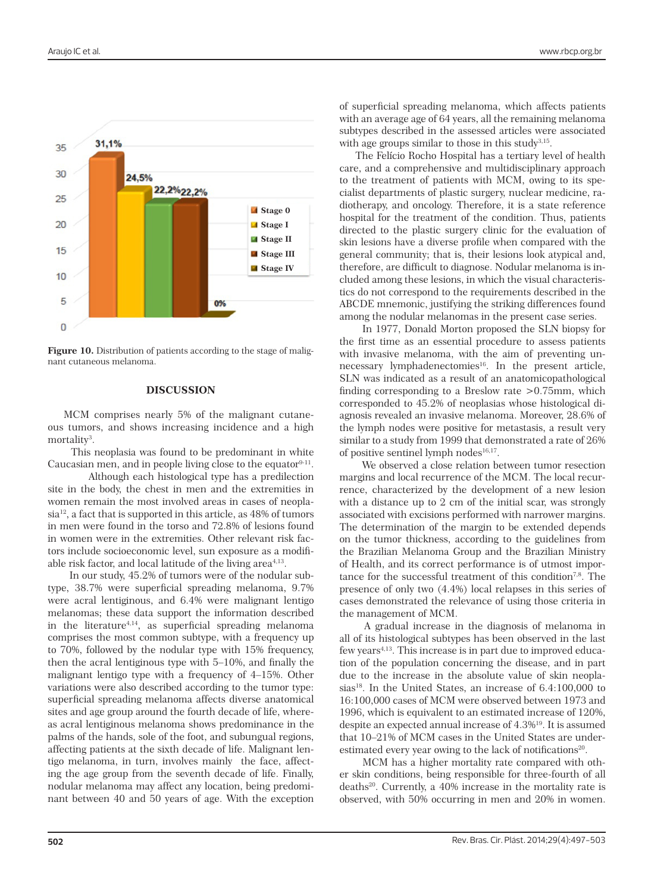

**Figure 10.** Distribution of patients according to the stage of malignant cutaneous melanoma.

## **DISCUSSION**

MCM comprises nearly 5% of the malignant cutaneous tumors, and shows increasing incidence and a high mortality<sup>3</sup>.

 This neoplasia was found to be predominant in white Caucasian men, and in people living close to the equator<sup>9-11</sup>.

Although each histological type has a predilection site in the body, the chest in men and the extremities in women remain the most involved areas in cases of neoplasia12, a fact that is supported in this article, as 48% of tumors in men were found in the torso and 72.8% of lesions found in women were in the extremities. Other relevant risk factors include socioeconomic level, sun exposure as a modifiable risk factor, and local latitude of the living area<sup>4,13</sup>.

 In our study, 45.2% of tumors were of the nodular subtype, 38.7% were superficial spreading melanoma, 9.7% were acral lentiginous, and 6.4% were malignant lentigo melanomas; these data support the information described in the literature<sup>4,14</sup>, as superficial spreading melanoma comprises the most common subtype, with a frequency up to 70%, followed by the nodular type with 15% frequency, then the acral lentiginous type with 5–10%, and finally the malignant lentigo type with a frequency of 4–15%. Other variations were also described according to the tumor type: superficial spreading melanoma affects diverse anatomical sites and age group around the fourth decade of life, whereas acral lentiginous melanoma shows predominance in the palms of the hands, sole of the foot, and subungual regions, affecting patients at the sixth decade of life. Malignant lentigo melanoma, in turn, involves mainly the face, affecting the age group from the seventh decade of life. Finally, nodular melanoma may affect any location, being predominant between 40 and 50 years of age. With the exception of superficial spreading melanoma, which affects patients with an average age of 64 years, all the remaining melanoma subtypes described in the assessed articles were associated with age groups similar to those in this study<sup>3,15</sup>.

The Felício Rocho Hospital has a tertiary level of health care, and a comprehensive and multidisciplinary approach to the treatment of patients with MCM, owing to its specialist departments of plastic surgery, nuclear medicine, radiotherapy, and oncology. Therefore, it is a state reference hospital for the treatment of the condition. Thus, patients directed to the plastic surgery clinic for the evaluation of skin lesions have a diverse profile when compared with the general community; that is, their lesions look atypical and, therefore, are difficult to diagnose. Nodular melanoma is included among these lesions, in which the visual characteristics do not correspond to the requirements described in the ABCDE mnemonic, justifying the striking differences found among the nodular melanomas in the present case series.

 In 1977, Donald Morton proposed the SLN biopsy for the first time as an essential procedure to assess patients with invasive melanoma, with the aim of preventing unnecessary lymphadenectomies<sup>16</sup>. In the present article, SLN was indicated as a result of an anatomicopathological finding corresponding to a Breslow rate >0.75mm, which corresponded to 45.2% of neoplasias whose histological diagnosis revealed an invasive melanoma. Moreover, 28.6% of the lymph nodes were positive for metastasis, a result very similar to a study from 1999 that demonstrated a rate of 26% of positive sentinel lymph nodes $16,17$ .

 We observed a close relation between tumor resection margins and local recurrence of the MCM. The local recurrence, characterized by the development of a new lesion with a distance up to 2 cm of the initial scar, was strongly associated with excisions performed with narrower margins. The determination of the margin to be extended depends on the tumor thickness, according to the guidelines from the Brazilian Melanoma Group and the Brazilian Ministry of Health, and its correct performance is of utmost importance for the successful treatment of this condition<sup>7,8</sup>. The presence of only two (4.4%) local relapses in this series of cases demonstrated the relevance of using those criteria in the management of MCM.

 A gradual increase in the diagnosis of melanoma in all of its histological subtypes has been observed in the last few years<sup>4,13</sup>. This increase is in part due to improved education of the population concerning the disease, and in part due to the increase in the absolute value of skin neoplasias<sup>18</sup>. In the United States, an increase of  $6.4:100,000$  to 16:100,000 cases of MCM were observed between 1973 and 1996, which is equivalent to an estimated increase of 120%, despite an expected annual increase of 4.3%19. It is assumed that 10–21% of MCM cases in the United States are underestimated every year owing to the lack of notifications<sup>20</sup>.

 MCM has a higher mortality rate compared with other skin conditions, being responsible for three-fourth of all deaths20. Currently, a 40% increase in the mortality rate is observed, with 50% occurring in men and 20% in women.